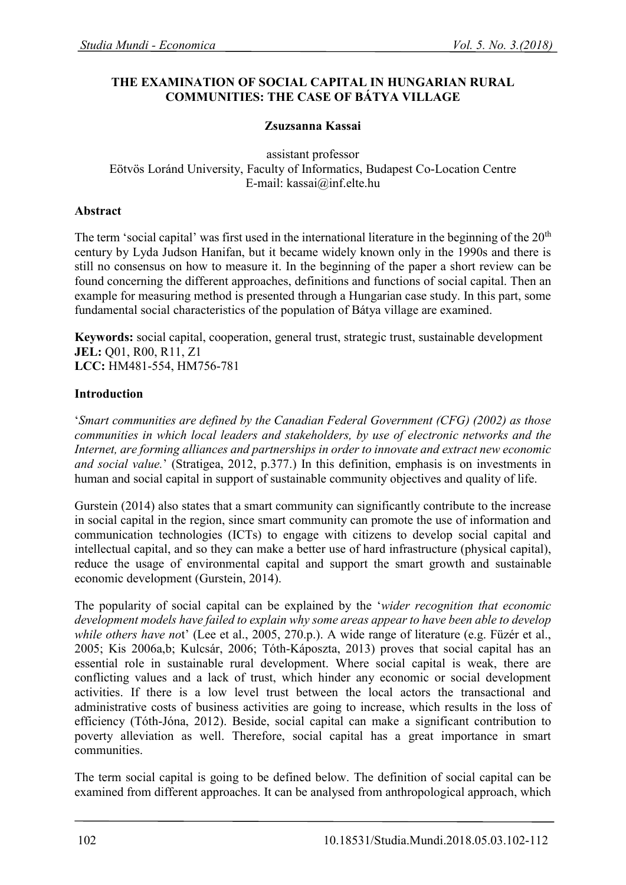### **THE EXAMINATION OF SOCIAL CAPITAL IN HUNGARIAN RURAL COMMUNITIES: THE CASE OF BÁTYA VILLAGE**

### **Zsuzsanna Kassai**

assistant professor Eötvös Loránd University, Faculty of Informatics, Budapest Co-Location Centre E-mail: kassai@inf.elte.hu

### **Abstract**

The term 'social capital' was first used in the international literature in the beginning of the  $20<sup>th</sup>$ century by Lyda Judson Hanifan, but it became widely known only in the 1990s and there is still no consensus on how to measure it. In the beginning of the paper a short review can be found concerning the different approaches, definitions and functions of social capital. Then an example for measuring method is presented through a Hungarian case study. In this part, some fundamental social characteristics of the population of Bátya village are examined.

**Keywords:** social capital, cooperation, general trust, strategic trust, sustainable development **JEL: 001, R00, R11, Z1 LCC:** HM481-554, HM756-781

### **Introduction**

'*Smart communities are defined by the Canadian Federal Government (CFG) (2002) as those communities in which local leaders and stakeholders, by use of electronic networks and the Internet, are forming alliances and partnerships in order to innovate and extract new economic and social value.*' (Stratigea, 2012, p.377.) In this definition, emphasis is on investments in human and social capital in support of sustainable community objectives and quality of life.

Gurstein (2014) also states that a smart community can significantly contribute to the increase in social capital in the region, since smart community can promote the use of information and communication technologies (ICTs) to engage with citizens to develop social capital and intellectual capital, and so they can make a better use of hard infrastructure (physical capital), reduce the usage of environmental capital and support the smart growth and sustainable economic development (Gurstein, 2014).

The popularity of social capital can be explained by the '*wider recognition that economic development models have failed to explain why some areas appear to have been able to develop while others have not*' (Lee et al., 2005, 270.p.). A wide range of literature (e.g. Füzér et al., 2005; Kis 2006a,b; Kulcsár, 2006; Tóth-Káposzta, 2013) proves that social capital has an essential role in sustainable rural development. Where social capital is weak, there are conflicting values and a lack of trust, which hinder any economic or social development activities. If there is a low level trust between the local actors the transactional and administrative costs of business activities are going to increase, which results in the loss of efficiency (Tóth-Jóna, 2012). Beside, social capital can make a significant contribution to poverty alleviation as well. Therefore, social capital has a great importance in smart communities.

The term social capital is going to be defined below. The definition of social capital can be examined from different approaches. It can be analysed from anthropological approach, which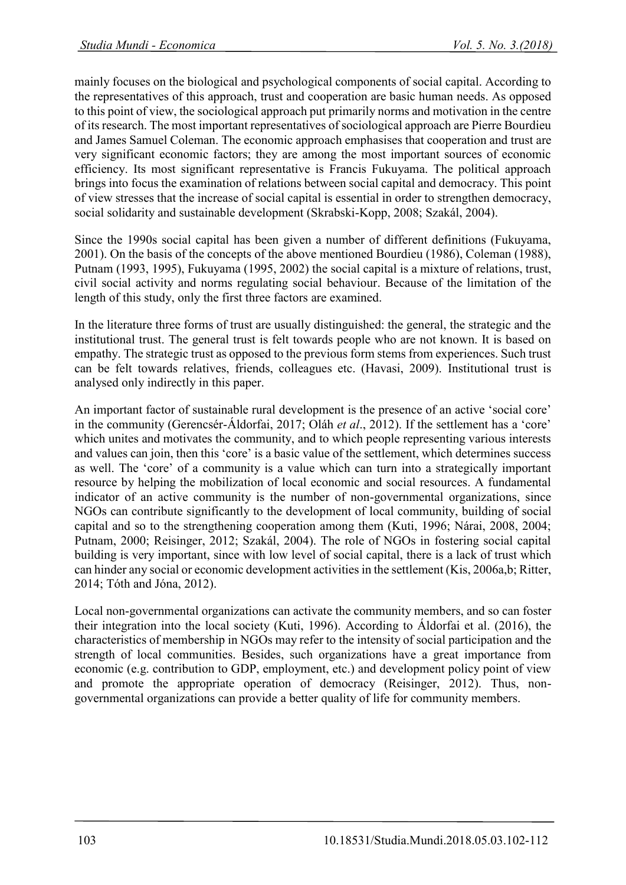mainly focuses on the biological and psychological components of social capital. According to the representatives of this approach, trust and cooperation are basic human needs. As opposed to this point of view, the sociological approach put primarily norms and motivation in the centre of its research. The most important representatives of sociological approach are Pierre Bourdieu and James Samuel Coleman. The economic approach emphasises that cooperation and trust are very significant economic factors; they are among the most important sources of economic efficiency. Its most significant representative is Francis Fukuyama. The political approach brings into focus the examination of relations between social capital and democracy. This point of view stresses that the increase of social capital is essential in order to strengthen democracy, social solidarity and sustainable development (Skrabski-Kopp, 2008; Szakál, 2004).

Since the 1990s social capital has been given a number of different definitions (Fukuyama, 2001). On the basis of the concepts of the above mentioned Bourdieu (1986), Coleman (1988), Putnam (1993, 1995), Fukuyama (1995, 2002) the social capital is a mixture of relations, trust, civil social activity and norms regulating social behaviour. Because of the limitation of the length of this study, only the first three factors are examined.

In the literature three forms of trust are usually distinguished: the general, the strategic and the institutional trust. The general trust is felt towards people who are not known. It is based on empathy. The strategic trust as opposed to the previous form stems from experiences. Such trust can be felt towards relatives, friends, colleagues etc. (Havasi, 2009). Institutional trust is analysed only indirectly in this paper.

An important factor of sustainable rural development is the presence of an active 'social core' in the community (Gerencsér-Áldorfai, 2017; Oláh *et al*., 2012). If the settlement has a 'core' which unites and motivates the community, and to which people representing various interests and values can join, then this 'core' is a basic value of the settlement, which determines success as well. The 'core' of a community is a value which can turn into a strategically important resource by helping the mobilization of local economic and social resources. A fundamental indicator of an active community is the number of non-governmental organizations, since NGOs can contribute significantly to the development of local community, building of social capital and so to the strengthening cooperation among them (Kuti, 1996; Nárai, 2008, 2004; Putnam, 2000; Reisinger, 2012; Szakál, 2004). The role of NGOs in fostering social capital building is very important, since with low level of social capital, there is a lack of trust which can hinder any social or economic development activities in the settlement (Kis, 2006a,b; Ritter, 2014; Tóth and Jóna, 2012).

Local non-governmental organizations can activate the community members, and so can foster their integration into the local society (Kuti, 1996). According to Áldorfai et al. (2016), the characteristics of membership in NGOs may refer to the intensity of social participation and the strength of local communities. Besides, such organizations have a great importance from economic (e.g. contribution to GDP, employment, etc.) and development policy point of view and promote the appropriate operation of democracy (Reisinger, 2012). Thus, nongovernmental organizations can provide a better quality of life for community members.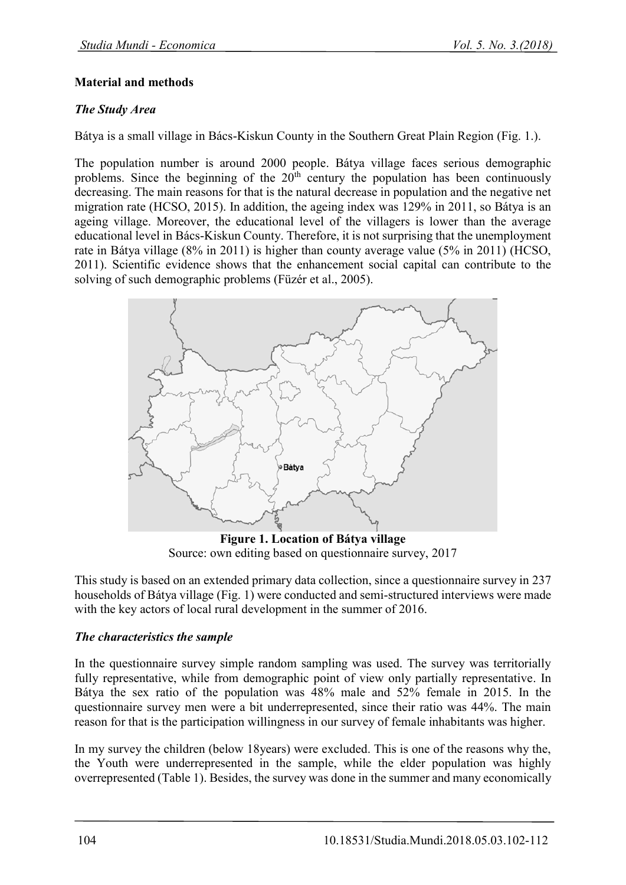### **Material and methods**

## *The Study Area*

Bátya is a small village in Bács-Kiskun County in the Southern Great Plain Region (Fig. 1.).

The population number is around 2000 people. Bátya village faces serious demographic problems. Since the beginning of the  $20<sup>th</sup>$  century the population has been continuously decreasing. The main reasons for that is the natural decrease in population and the negative net migration rate (HCSO, 2015). In addition, the ageing index was 129% in 2011, so Bátya is an ageing village. Moreover, the educational level of the villagers is lower than the average educational level in Bács-Kiskun County. Therefore, it is not surprising that the unemployment rate in Bátya village (8% in 2011) is higher than county average value (5% in 2011) (HCSO, 2011). Scientific evidence shows that the enhancement social capital can contribute to the solving of such demographic problems (Füzér et al., 2005).



**Figure 1. Location of Bátya village** Source: own editing based on questionnaire survey, 2017

This study is based on an extended primary data collection, since a questionnaire survey in 237 households of Bátya village (Fig. 1) were conducted and semi-structured interviews were made with the key actors of local rural development in the summer of 2016.

#### *The characteristics the sample*

In the questionnaire survey simple random sampling was used. The survey was territorially fully representative, while from demographic point of view only partially representative. In Bátya the sex ratio of the population was 48% male and 52% female in 2015. In the questionnaire survey men were a bit underrepresented, since their ratio was 44%. The main reason for that is the participation willingness in our survey of female inhabitants was higher.

In my survey the children (below 18years) were excluded. This is one of the reasons why the, the Youth were underrepresented in the sample, while the elder population was highly overrepresented (Table 1). Besides, the survey was done in the summer and many economically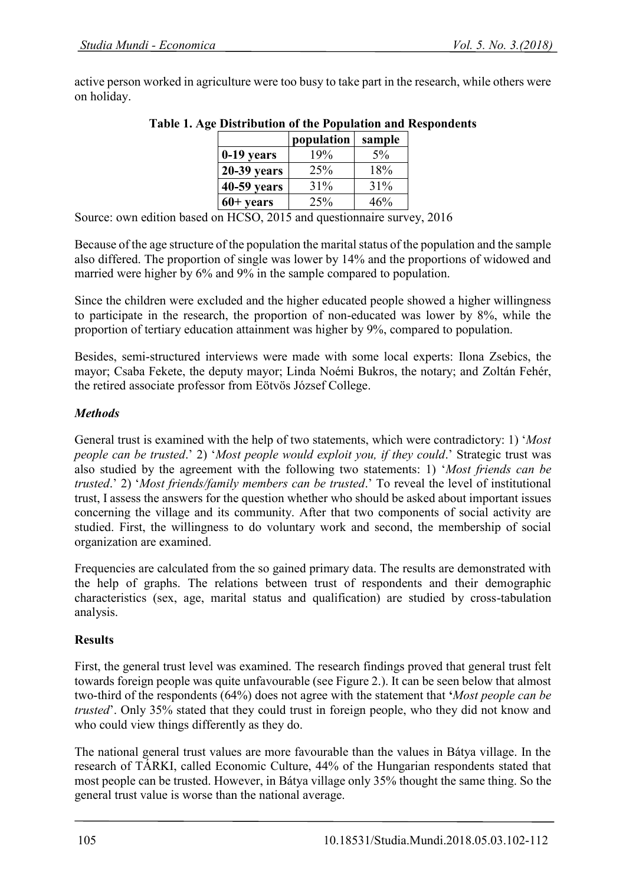active person worked in agriculture were too busy to take part in the research, while others were on holiday.

|                    | population | sample |
|--------------------|------------|--------|
| 0-19 years         | 19%        | $5\%$  |
| $20-39$ years      | 25%        | 18%    |
| 40-59 years        | $31\%$     | 31%    |
| $60+ \text{years}$ | 25%        | 46%    |
|                    |            |        |

# **Table 1. Age Distribution of the Population and Respondents**

Source: own edition based on HCSO, 2015 and questionnaire survey, 2016

Because of the age structure of the population the marital status of the population and the sample also differed. The proportion of single was lower by 14% and the proportions of widowed and married were higher by 6% and 9% in the sample compared to population.

Since the children were excluded and the higher educated people showed a higher willingness to participate in the research, the proportion of non-educated was lower by 8%, while the proportion of tertiary education attainment was higher by 9%, compared to population.

Besides, semi-structured interviews were made with some local experts: Ilona Zsebics, the mayor; Csaba Fekete, the deputy mayor; Linda Noémi Bukros, the notary; and Zoltán Fehér, the retired associate professor from Eötvös József College.

# *Methods*

General trust is examined with the help of two statements, which were contradictory: 1) '*Most people can be trusted*.' 2) '*Most people would exploit you, if they could*.' Strategic trust was also studied by the agreement with the following two statements: 1) '*Most friends can be trusted*.' 2) '*Most friends/family members can be trusted*.' To reveal the level of institutional trust, I assess the answers for the question whether who should be asked about important issues concerning the village and its community. After that two components of social activity are studied. First, the willingness to do voluntary work and second, the membership of social organization are examined.

Frequencies are calculated from the so gained primary data. The results are demonstrated with the help of graphs. The relations between trust of respondents and their demographic characteristics (sex, age, marital status and qualification) are studied by cross-tabulation analysis.

# **Results**

First, the general trust level was examined. The research findings proved that general trust felt towards foreign people was quite unfavourable (see Figure 2.). It can be seen below that almost two-third of the respondents (64%) does not agree with the statement that **'***Most people can be trusted*'. Only 35% stated that they could trust in foreign people, who they did not know and who could view things differently as they do.

The national general trust values are more favourable than the values in Bátya village. In the research of TÁRKI, called Economic Culture, 44% of the Hungarian respondents stated that most people can be trusted. However, in Bátya village only 35% thought the same thing. So the general trust value is worse than the national average.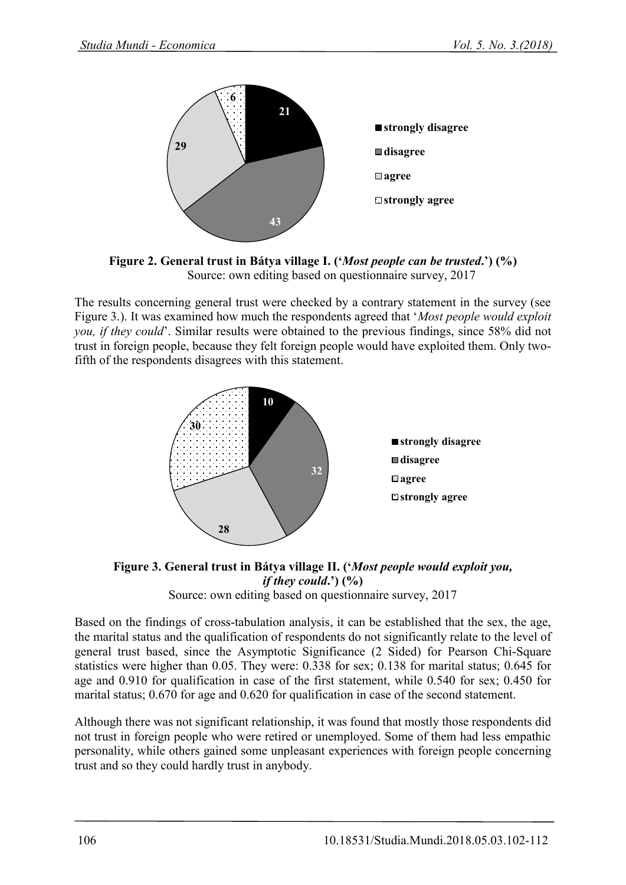

**Figure 2. General trust in Bátya village I. ('***Most people can be trusted***.') (%)** Source: own editing based on questionnaire survey, 2017

The results concerning general trust were checked by a contrary statement in the survey (see Figure 3.). It was examined how much the respondents agreed that '*Most people would exploit you, if they could*'. Similar results were obtained to the previous findings, since 58% did not trust in foreign people, because they felt foreign people would have exploited them. Only twofifth of the respondents disagrees with this statement.



**Figure 3. General trust in Bátya village II. ('***Most people would exploit you, if they could***.') (%)** Source: own editing based on questionnaire survey, 2017

Based on the findings of cross-tabulation analysis, it can be established that the sex, the age, the marital status and the qualification of respondents do not significantly relate to the level of general trust based, since the Asymptotic Significance (2 Sided) for Pearson Chi-Square

statistics were higher than 0.05. They were: 0.338 for sex; 0.138 for marital status; 0.645 for age and 0.910 for qualification in case of the first statement, while 0.540 for sex; 0.450 for marital status; 0.670 for age and 0.620 for qualification in case of the second statement.

Although there was not significant relationship, it was found that mostly those respondents did not trust in foreign people who were retired or unemployed. Some of them had less empathic personality, while others gained some unpleasant experiences with foreign people concerning trust and so they could hardly trust in anybody.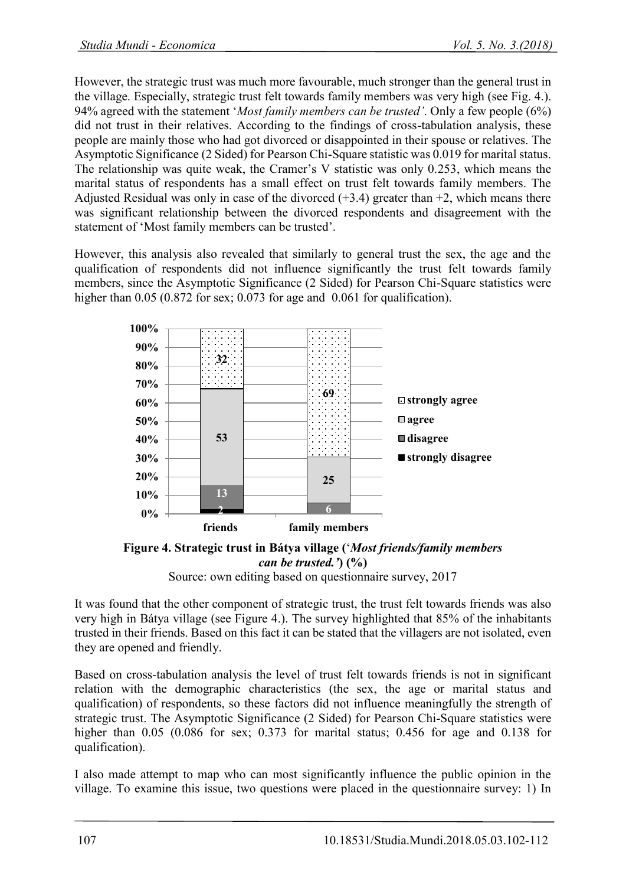However, the strategic trust was much more favourable, much stronger than the general trust in the village. Especially, strategic trust felt towards family members was very high (see Fig. 4.). 94% agreed with the statement '*Most family members can be trusted'*. Only a few people (6%) did not trust in their relatives. According to the findings of cross-tabulation analysis, these people are mainly those who had got divorced or disappointed in their spouse or relatives. The Asymptotic Significance (2 Sided) for Pearson Chi-Square statistic was 0.019 for marital status. The relationship was quite weak, the Cramer's V statistic was only 0.253, which means the marital status of respondents has a small effect on trust felt towards family members. The Adjusted Residual was only in case of the divorced  $(+3.4)$  greater than  $+2$ , which means there was significant relationship between the divorced respondents and disagreement with the statement of 'Most family members can be trusted'.

However, this analysis also revealed that similarly to general trust the sex, the age and the qualification of respondents did not influence significantly the trust felt towards family members, since the Asymptotic Significance (2 Sided) for Pearson Chi-Square statistics were higher than 0.05 (0.872 for sex; 0.073 for age and 0.061 for qualification).



**Figure 4. Strategic trust in Bátya village (**'*Most friends/family members can be trusted.'***) (%)** Source: own editing based on questionnaire survey, 2017

It was found that the other component of strategic trust, the trust felt towards friends was also very high in Bátya village (see Figure 4.). The survey highlighted that 85% of the inhabitants trusted in their friends. Based on this fact it can be stated that the villagers are not isolated, even they are opened and friendly.

Based on cross-tabulation analysis the level of trust felt towards friends is not in significant relation with the demographic characteristics (the sex, the age or marital status and qualification) of respondents, so these factors did not influence meaningfully the strength of strategic trust. The Asymptotic Significance (2 Sided) for Pearson Chi-Square statistics were higher than 0.05 (0.086 for sex; 0.373 for marital status; 0.456 for age and 0.138 for qualification).

I also made attempt to map who can most significantly influence the public opinion in the village. To examine this issue, two questions were placed in the questionnaire survey: 1) In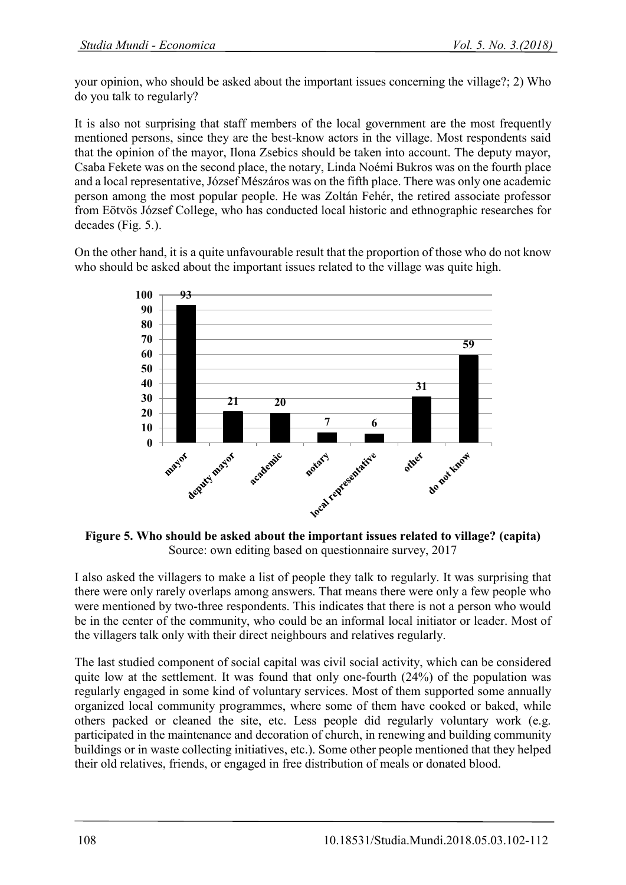your opinion, who should be asked about the important issues concerning the village?; 2) Who do you talk to regularly?

It is also not surprising that staff members of the local government are the most frequently mentioned persons, since they are the best-know actors in the village. Most respondents said that the opinion of the mayor, Ilona Zsebics should be taken into account. The deputy mayor, Csaba Fekete was on the second place, the notary, Linda Noémi Bukros was on the fourth place and a local representative, József Mészáros was on the fifth place. There was only one academic person among the most popular people. He was Zoltán Fehér, the retired associate professor from Eötvös József College, who has conducted local historic and ethnographic researches for decades (Fig. 5.).

On the other hand, it is a quite unfavourable result that the proportion of those who do not know who should be asked about the important issues related to the village was quite high.



**Figure 5. Who should be asked about the important issues related to village? (capita)** Source: own editing based on questionnaire survey, 2017

I also asked the villagers to make a list of people they talk to regularly. It was surprising that there were only rarely overlaps among answers. That means there were only a few people who were mentioned by two-three respondents. This indicates that there is not a person who would be in the center of the community, who could be an informal local initiator or leader. Most of the villagers talk only with their direct neighbours and relatives regularly.

The last studied component of social capital was civil social activity, which can be considered quite low at the settlement. It was found that only one-fourth (24%) of the population was regularly engaged in some kind of voluntary services. Most of them supported some annually organized local community programmes, where some of them have cooked or baked, while others packed or cleaned the site, etc. Less people did regularly voluntary work (e.g. participated in the maintenance and decoration of church, in renewing and building community buildings or in waste collecting initiatives, etc.). Some other people mentioned that they helped their old relatives, friends, or engaged in free distribution of meals or donated blood.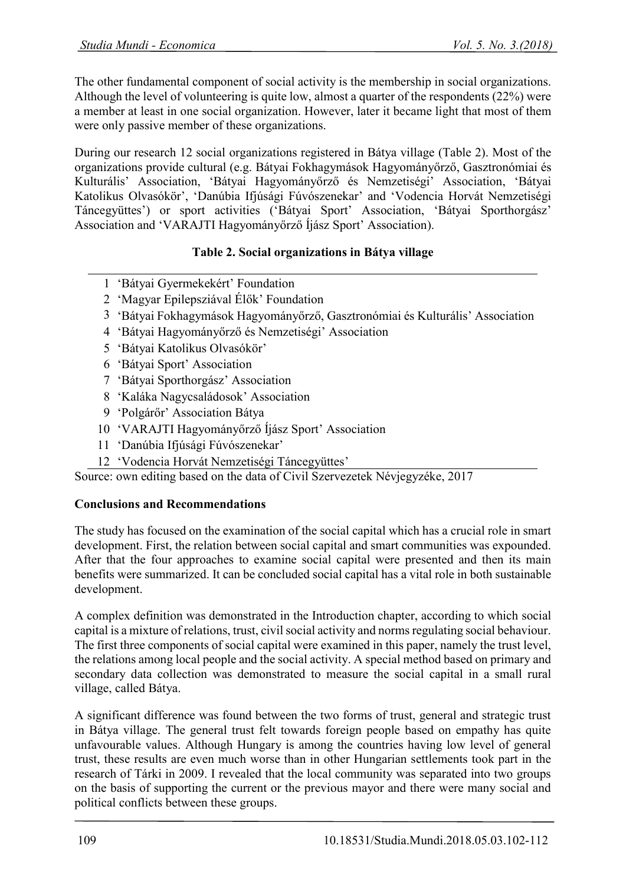The other fundamental component of social activity is the membership in social organizations. Although the level of volunteering is quite low, almost a quarter of the respondents (22%) were a member at least in one social organization. However, later it became light that most of them were only passive member of these organizations.

During our research 12 social organizations registered in Bátya village (Table 2). Most of the organizations provide cultural (e.g. Bátyai Fokhagymások Hagyományőrző, Gasztronómiai és Kulturális' Association, 'Bátyai Hagyományőrző és Nemzetiségi' Association, 'Bátyai Katolikus Olvasókör', 'Danúbia Ifjúsági Fúvószenekar' and 'Vodencia Horvát Nemzetiségi Táncegyüttes') or sport activities ('Bátyai Sport' Association, 'Bátyai Sporthorgász' Association and 'VARAJTI Hagyományőrző Íjász Sport' Association).

# **Table 2. Social organizations in Bátya village**

- 1 'Bátyai Gyermekekért' Foundation
- 2 'Magyar Epilepsziával Élők' Foundation
- 3 'Bátyai Fokhagymások Hagyományőrző, Gasztronómiai és Kulturális' Association
- 4 'Bátyai Hagyományőrző és Nemzetiségi' Association
- 5 'Bátyai Katolikus Olvasókör'
- 6 'Bátyai Sport' Association
- 7 'Bátyai Sporthorgász' Association
- 8 'Kaláka Nagycsaládosok' Association
- 9 'Polgárőr' Association Bátya
- 10 'VARAJTI Hagyományőrző Íjász Sport' Association
- 11 'Danúbia Ifjúsági Fúvószenekar'
- 12 'Vodencia Horvát Nemzetiségi Táncegyüttes'

Source: own editing based on the data of Civil Szervezetek Névjegyzéke, 2017

# **Conclusions and Recommendations**

The study has focused on the examination of the social capital which has a crucial role in smart development. First, the relation between social capital and smart communities was expounded. After that the four approaches to examine social capital were presented and then its main benefits were summarized. It can be concluded social capital has a vital role in both sustainable development.

A complex definition was demonstrated in the Introduction chapter, according to which social capital is a mixture of relations, trust, civil social activity and norms regulating social behaviour. The first three components of social capital were examined in this paper, namely the trust level, the relations among local people and the social activity. A special method based on primary and secondary data collection was demonstrated to measure the social capital in a small rural village, called Bátya.

A significant difference was found between the two forms of trust, general and strategic trust in Bátya village. The general trust felt towards foreign people based on empathy has quite unfavourable values. Although Hungary is among the countries having low level of general trust, these results are even much worse than in other Hungarian settlements took part in the research of Tárki in 2009. I revealed that the local community was separated into two groups on the basis of supporting the current or the previous mayor and there were many social and political conflicts between these groups.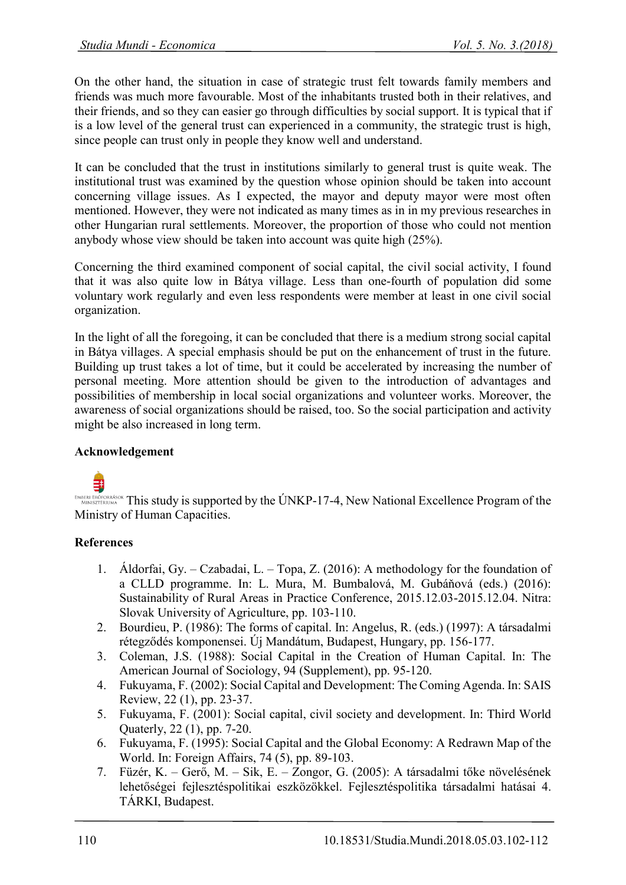On the other hand, the situation in case of strategic trust felt towards family members and friends was much more favourable. Most of the inhabitants trusted both in their relatives, and their friends, and so they can easier go through difficulties by social support. It is typical that if is a low level of the general trust can experienced in a community, the strategic trust is high, since people can trust only in people they know well and understand.

It can be concluded that the trust in institutions similarly to general trust is quite weak. The institutional trust was examined by the question whose opinion should be taken into account concerning village issues. As I expected, the mayor and deputy mayor were most often mentioned. However, they were not indicated as many times as in in my previous researches in other Hungarian rural settlements. Moreover, the proportion of those who could not mention anybody whose view should be taken into account was quite high (25%).

Concerning the third examined component of social capital, the civil social activity, I found that it was also quite low in Bátya village. Less than one-fourth of population did some voluntary work regularly and even less respondents were member at least in one civil social organization.

In the light of all the foregoing, it can be concluded that there is a medium strong social capital in Bátya villages. A special emphasis should be put on the enhancement of trust in the future. Building up trust takes a lot of time, but it could be accelerated by increasing the number of personal meeting. More attention should be given to the introduction of advantages and possibilities of membership in local social organizations and volunteer works. Moreover, the awareness of social organizations should be raised, too. So the social participation and activity might be also increased in long term.

# **Acknowledgement**

ENATERA FROFORRÁSOK This study is supported by the ÚNKP-17-4, New National Excellence Program of the Ministry of Human Capacities.

# **References**

- 1. Áldorfai, Gy. Czabadai, L. Topa, Z. (2016): A methodology for the foundation of a CLLD programme. In: L. Mura, M. Bumbalová, M. Gubáňová (eds.) (2016): Sustainability of Rural Areas in Practice Conference, 2015.12.03-2015.12.04. Nitra: Slovak University of Agriculture, pp. 103-110.
- 2. Bourdieu, P. (1986): The forms of capital. In: Angelus, R. (eds.) (1997): A társadalmi rétegződés komponensei. Új Mandátum, Budapest, Hungary, pp. 156-177.
- 3. Coleman, J.S. (1988): Social Capital in the Creation of Human Capital. In: The American Journal of Sociology, 94 (Supplement), pp. 95-120.
- 4. Fukuyama, F. (2002): Social Capital and Development: The Coming Agenda. In: SAIS Review, 22 (1), pp. 23-37.
- 5. Fukuyama, F. (2001): Social capital, civil society and development. In: Third World Quaterly, 22 (1), pp. 7-20.
- 6. Fukuyama, F. (1995): Social Capital and the Global Economy: A Redrawn Map of the World. In: Foreign Affairs, 74 (5), pp. 89-103.
- 7. Füzér, K. Gerő, M. Sik, E. Zongor, G. (2005): A társadalmi tőke növelésének lehetőségei fejlesztéspolitikai eszközökkel. Fejlesztéspolitika társadalmi hatásai 4. TÁRKI, Budapest.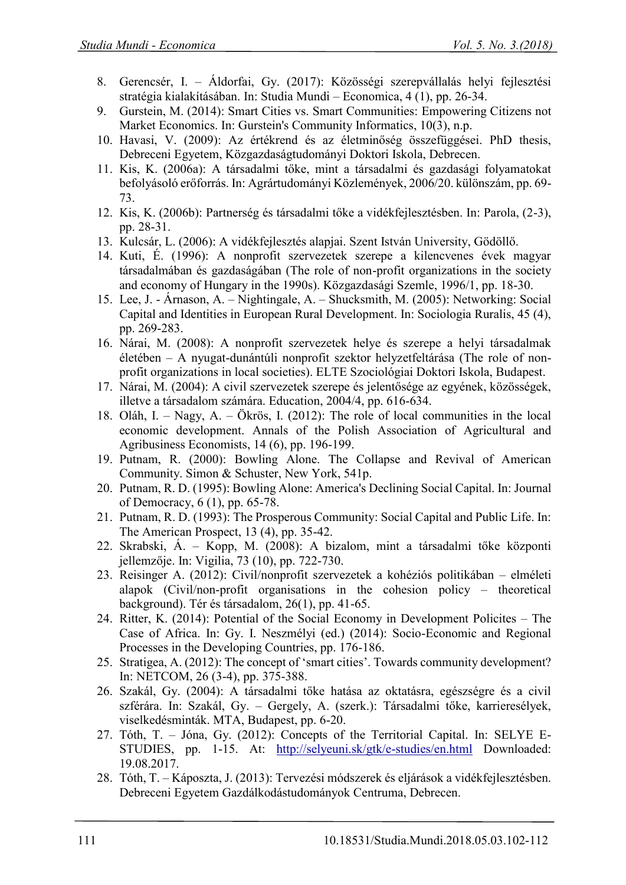- 8. Gerencsér, I. Áldorfai, Gy. (2017): Közösségi szerepvállalás helyi fejlesztési stratégia kialakításában. In: Studia Mundi – Economica, 4 (1), pp. 26-34.
- 9. Gurstein, M. (2014): Smart Cities vs. Smart Communities: Empowering Citizens not Market Economics. In: Gurstein's Community Informatics, 10(3), n.p.
- 10. Havasi, V. (2009): Az értékrend és az életminőség összefüggései. PhD thesis, Debreceni Egyetem, Közgazdaságtudományi Doktori Iskola, Debrecen.
- 11. Kis, K. (2006a): A társadalmi tőke, mint a társadalmi és gazdasági folyamatokat befolyásoló erőforrás. In: Agrártudományi Közlemények, 2006/20. különszám, pp. 69- 73.
- 12. Kis, K. (2006b): Partnerség és társadalmi tőke a vidékfejlesztésben. In: Parola, (2-3), pp. 28-31.
- 13. Kulcsár, L. (2006): A vidékfejlesztés alapjai. Szent István University, Gödöllő.
- 14. Kuti, É. (1996): A nonprofit szervezetek szerepe a kilencvenes évek magyar társadalmában és gazdaságában (The role of non-profit organizations in the society and economy of Hungary in the 1990s). Közgazdasági Szemle, 1996/1, pp. 18-30.
- 15. Lee, J. Árnason, A. Nightingale, A. Shucksmith, M. (2005): Networking: Social Capital and Identities in European Rural Development. In: Sociologia Ruralis, 45 (4), pp. 269-283.
- 16. Nárai, M. (2008): A nonprofit szervezetek helye és szerepe a helyi társadalmak életében – A nyugat-dunántúli nonprofit szektor helyzetfeltárása (The role of nonprofit organizations in local societies). ELTE Szociológiai Doktori Iskola, Budapest.
- 17. Nárai, M. (2004): A civil szervezetek szerepe és jelentősége az egyének, közösségek, illetve a társadalom számára. Education, 2004/4, pp. 616-634.
- 18. Oláh, I. Nagy, A. Ökrös, I. (2012): The role of local communities in the local economic development. Annals of the Polish Association of Agricultural and Agribusiness Economists, 14 (6), pp. 196-199.
- 19. Putnam, R. (2000): Bowling Alone. The Collapse and Revival of American Community. Simon & Schuster, New York, 541p.
- 20. Putnam, R. D. (1995): Bowling Alone: America's Declining Social Capital. In: Journal of Democracy, 6 (1), pp. 65-78.
- 21. Putnam, R. D. (1993): The Prosperous Community: Social Capital and Public Life. In: The American Prospect, 13 (4), pp. 35-42.
- 22. Skrabski, Á. Kopp, M. (2008): A bizalom, mint a társadalmi tőke központi jellemzője. In: Vigilia, 73 (10), pp. 722-730.
- 23. Reisinger A. (2012): Civil/nonprofit szervezetek a kohéziós politikában elméleti alapok (Civil/non-profit organisations in the cohesion policy – theoretical background). Tér és társadalom, 26(1), pp. 41-65.
- 24. Ritter, K. (2014): Potential of the Social Economy in Development Policites The Case of Africa. In: Gy. I. Neszmélyi (ed.) (2014): Socio-Economic and Regional Processes in the Developing Countries, pp. 176-186.
- 25. Stratigea, A. (2012): The concept of 'smart cities'. Towards community development? In: NETCOM, 26 (3-4), pp. 375-388.
- 26. Szakál, Gy. (2004): A társadalmi tőke hatása az oktatásra, egészségre és a civil szférára. In: Szakál, Gy. – Gergely, A. (szerk.): Társadalmi tőke, karrieresélyek, viselkedésminták. MTA, Budapest, pp. 6-20.
- 27. Tóth, T. Jóna, Gy. (2012): Concepts of the Territorial Capital. In: SELYE E-STUDIES, pp. 1-15. At: <http://selyeuni.sk/gtk/e-studies/en.html> Downloaded: 19.08.2017.
- 28. Tóth, T. Káposzta, J. (2013): Tervezési módszerek és eljárások a vidékfejlesztésben. Debreceni Egyetem Gazdálkodástudományok Centruma, Debrecen.